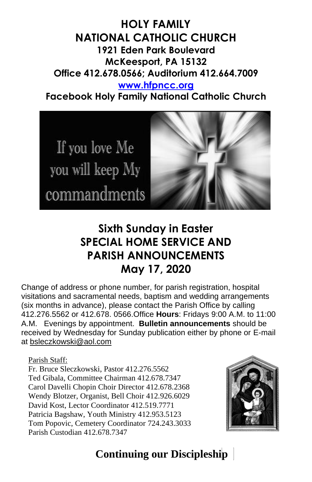**HOLY FAMILY NATIONAL CATHOLIC CHURCH 1921 Eden Park Boulevard McKeesport, PA 15132 Office 412.678.0566; Auditorium 412.664.7009 [www.hfpncc.org](http://www.hfpncc.org/) Facebook Holy Family National Catholic Church**



# **Sixth Sunday in Easter SPECIAL HOME SERVICE AND PARISH ANNOUNCEMENTS May 17, 2020**

Change of address or phone number, for parish registration, hospital visitations and sacramental needs, baptism and wedding arrangements (six months in advance), please contact the Parish Office by calling 412.276.5562 or 412.678. 0566.Office **Hours**: Fridays 9:00 A.M. to 11:00 A.M. Evenings by appointment. **Bulletin announcements** should be received by Wednesday for Sunday publication either by phone or E-mail at [bsleczkowski@aol.com](mailto:bsleczkowski@aol.com)

Parish Staff:

Fr. Bruce Sleczkowski, Pastor 412.276.5562 Ted Gibala, Committee Chairman 412.678.7347 Carol Davelli Chopin Choir Director 412.678.2368 Wendy Blotzer, Organist, Bell Choir 412.926.6029 David Kost, Lector Coordinator 412.519.7771 Patricia Bagshaw, Youth Ministry 412.953.5123 Tom Popovic, Cemetery Coordinator 724.243.3033 Parish Custodian 412.678.7347



# **Continuing our Discipleship**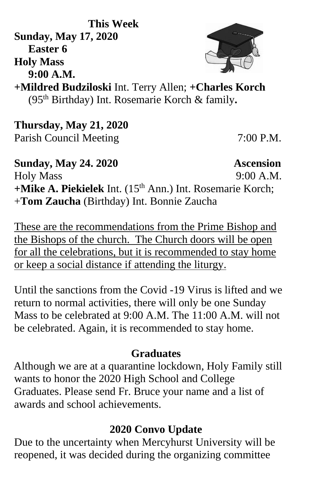**This Week Sunday, May 17, 2020 Easter 6 Holy Mass 9:00 A.M.**

**+Mildred Budziloski** Int. Terry Allen; **+Charles Korch** (95th Birthday) Int. Rosemarie Korch & family**.**

**Thursday, May 21, 2020** Parish Council Meeting 7:00 P.M.

**Sunday, May 24. 2020 Ascension**  Holy Mass 9:00 A.M. **+Mike A. Piekielek** Int. (15th Ann.) Int. Rosemarie Korch; +**Tom Zaucha** (Birthday) Int. Bonnie Zaucha

These are the recommendations from the Prime Bishop and the Bishops of the church. The Church doors will be open for all the celebrations, but it is recommended to stay home or keep a social distance if attending the liturgy.

Until the sanctions from the Covid -19 Virus is lifted and we return to normal activities, there will only be one Sunday Mass to be celebrated at 9:00 A.M. The 11:00 A.M. will not be celebrated. Again, it is recommended to stay home.

## **Graduates**

 Although we are at a quarantine lockdown, Holy Family still wants to honor the 2020 High School and College Graduates. Please send Fr. Bruce your name and a list of awards and school achievements.

#### **2020 Convo Update**

Due to the uncertainty when Mercyhurst University will be reopened, it was decided during the organizing committee

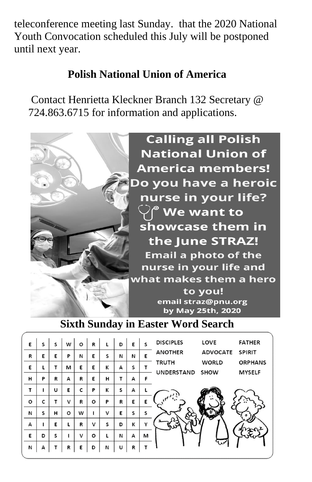teleconference meeting last Sunday. that the 2020 National Youth Convocation scheduled this July will be postponed until next year.

## **Polish National Union of America**

Contact Henrietta Kleckner Branch 132 Secretary @ 724.863.6715 for information and applications.



#### **Sixth Sunday in Easter Word Search**

| E       | S | S | w       | o            | R       | L | D | E | S | <b>DISCIPLES</b>  | LOVE            | <b>FATHER</b>  |
|---------|---|---|---------|--------------|---------|---|---|---|---|-------------------|-----------------|----------------|
| R       | E | E | P       | N            | E       | S | N | N | Е | <b>ANOTHER</b>    | <b>ADVOCATE</b> | <b>SPIRIT</b>  |
| E       | L | т | м       | Е            | Ε       | к | А | S |   | <b>TRUTH</b>      | <b>WORLD</b>    | <b>ORPHANS</b> |
| н       | P | R | А       | R            | E       | н | т | А | F | <b>UNDERSTAND</b> | <b>SHOW</b>     | <b>MYSELF</b>  |
| т       | ı | U | E       | c            | P       | К | S | А |   |                   |                 |                |
| $\circ$ | c | т | v       | R            | $\circ$ | P | R | E | E |                   |                 |                |
| И       | S | н | $\circ$ | W            |         | v | E | s | s |                   |                 |                |
| А       | 1 | Е | L       | R            | v       | s | D | К | Y |                   |                 |                |
| E       | D | S |         | $\mathsf{V}$ | o       | L | N | А | м |                   |                 |                |
| N       | A | т | R       | Е            | D       | И | U | R | т |                   |                 |                |
|         |   |   |         |              |         |   |   |   |   |                   |                 |                |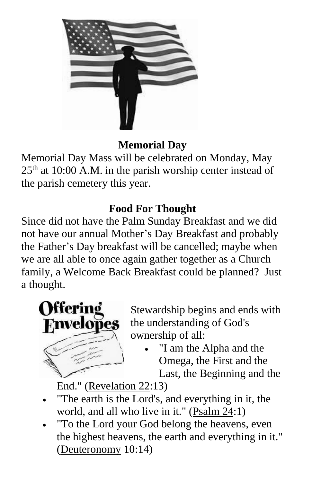

#### **Memorial Day**

Memorial Day Mass will be celebrated on Monday, May  $25<sup>th</sup>$  at 10:00 A.M. in the parish worship center instead of the parish cemetery this year.

## **Food For Thought**

Since did not have the Palm Sunday Breakfast and we did not have our annual Mother's Day Breakfast and probably the Father's Day breakfast will be cancelled; maybe when we are all able to once again gather together as a Church family, a Welcome Back Breakfast could be planned? Just a thought.



Stewardship begins and ends with the understanding of God's ownership of all:

"I am the Alpha and the Omega, the First and the Last, the Beginning and the

End." [\(Revelation 22:](https://en.wikipedia.org/wiki/Revelation_22)13)

- "The earth is the Lord's, and everything in it, the world, and all who live in it." [\(Psalm 24:](https://en.wikipedia.org/wiki/Psalm_24)1)
- "To the Lord your God belong the heavens, even the highest heavens, the earth and everything in it." [\(Deuteronomy](https://en.wikipedia.org/wiki/Book_of_Deuteronomy) 10:14)